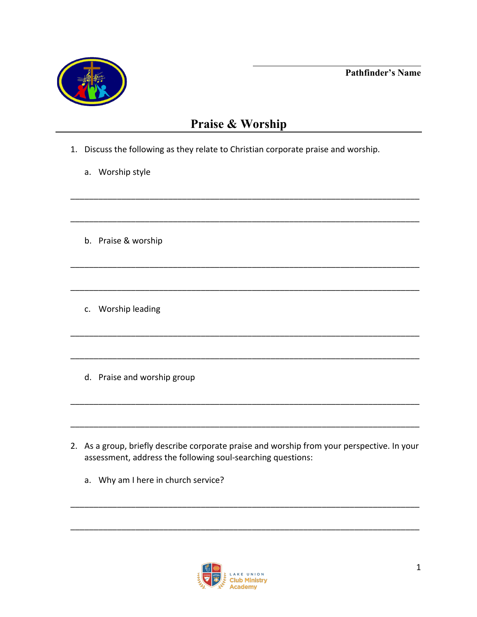**Pathfinder's Name** 



## Praise & Worship

- 1. Discuss the following as they relate to Christian corporate praise and worship.
	- a. Worship style
	- b. Praise & worship
	- c. Worship leading
	- d. Praise and worship group
- 2. As a group, briefly describe corporate praise and worship from your perspective. In your assessment, address the following soul-searching questions:
	- a. Why am I here in church service?

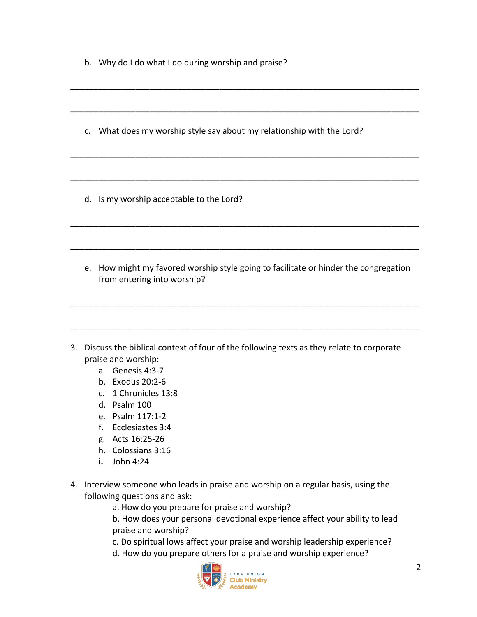- b. Why do I do what I do during worship and praise?
- c. What does my worship style say about my relationship with the Lord?

\_\_\_\_\_\_\_\_\_\_\_\_\_\_\_\_\_\_\_\_\_\_\_\_\_\_\_\_\_\_\_\_\_\_\_\_\_\_\_\_\_\_\_\_\_\_\_\_\_\_\_\_\_\_\_\_\_\_\_\_\_\_\_\_\_\_\_\_\_\_\_\_\_\_\_

\_\_\_\_\_\_\_\_\_\_\_\_\_\_\_\_\_\_\_\_\_\_\_\_\_\_\_\_\_\_\_\_\_\_\_\_\_\_\_\_\_\_\_\_\_\_\_\_\_\_\_\_\_\_\_\_\_\_\_\_\_\_\_\_\_\_\_\_\_\_\_\_\_\_\_

\_\_\_\_\_\_\_\_\_\_\_\_\_\_\_\_\_\_\_\_\_\_\_\_\_\_\_\_\_\_\_\_\_\_\_\_\_\_\_\_\_\_\_\_\_\_\_\_\_\_\_\_\_\_\_\_\_\_\_\_\_\_\_\_\_\_\_\_\_\_\_\_\_\_\_

\_\_\_\_\_\_\_\_\_\_\_\_\_\_\_\_\_\_\_\_\_\_\_\_\_\_\_\_\_\_\_\_\_\_\_\_\_\_\_\_\_\_\_\_\_\_\_\_\_\_\_\_\_\_\_\_\_\_\_\_\_\_\_\_\_\_\_\_\_\_\_\_\_\_\_

\_\_\_\_\_\_\_\_\_\_\_\_\_\_\_\_\_\_\_\_\_\_\_\_\_\_\_\_\_\_\_\_\_\_\_\_\_\_\_\_\_\_\_\_\_\_\_\_\_\_\_\_\_\_\_\_\_\_\_\_\_\_\_\_\_\_\_\_\_\_\_\_\_\_\_

\_\_\_\_\_\_\_\_\_\_\_\_\_\_\_\_\_\_\_\_\_\_\_\_\_\_\_\_\_\_\_\_\_\_\_\_\_\_\_\_\_\_\_\_\_\_\_\_\_\_\_\_\_\_\_\_\_\_\_\_\_\_\_\_\_\_\_\_\_\_\_\_\_\_\_

- d. Is my worship acceptable to the Lord?
- e. How might my favored worship style going to facilitate or hinder the congregation from entering into worship?

\_\_\_\_\_\_\_\_\_\_\_\_\_\_\_\_\_\_\_\_\_\_\_\_\_\_\_\_\_\_\_\_\_\_\_\_\_\_\_\_\_\_\_\_\_\_\_\_\_\_\_\_\_\_\_\_\_\_\_\_\_\_\_\_\_\_\_\_\_\_\_\_\_\_\_

\_\_\_\_\_\_\_\_\_\_\_\_\_\_\_\_\_\_\_\_\_\_\_\_\_\_\_\_\_\_\_\_\_\_\_\_\_\_\_\_\_\_\_\_\_\_\_\_\_\_\_\_\_\_\_\_\_\_\_\_\_\_\_\_\_\_\_\_\_\_\_\_\_\_\_

- 3. Discuss the biblical context of four of the following texts as they relate to corporate praise and worship:
	- a. Genesis 4:3-7
	- b. Exodus 20:2-6
	- c. 1 Chronicles 13:8
	- d. Psalm 100
	- e. Psalm 117:1-2
	- f. Ecclesiastes 3:4
	- g. Acts 16:25-26
	- h. Colossians 3:16
	- **i.** John 4:24
- 4. Interview someone who leads in praise and worship on a regular basis, using the following questions and ask:
	- a. How do you prepare for praise and worship?
	- b. How does your personal devotional experience affect your ability to lead praise and worship?
	- c. Do spiritual lows affect your praise and worship leadership experience?
	- d. How do you prepare others for a praise and worship experience?

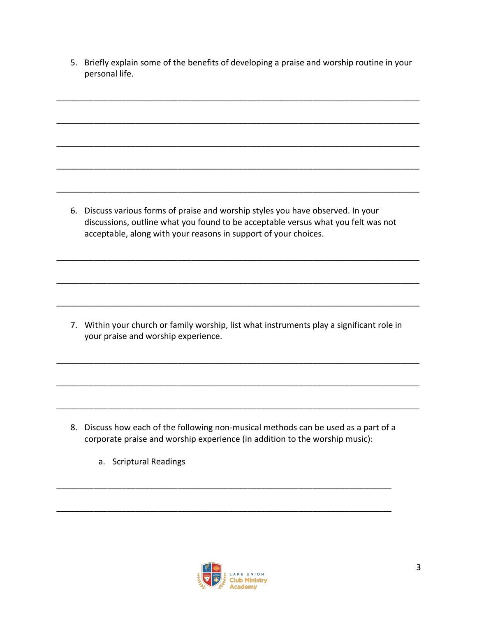5. Briefly explain some of the benefits of developing a praise and worship routine in your personal life.

\_\_\_\_\_\_\_\_\_\_\_\_\_\_\_\_\_\_\_\_\_\_\_\_\_\_\_\_\_\_\_\_\_\_\_\_\_\_\_\_\_\_\_\_\_\_\_\_\_\_\_\_\_\_\_\_\_\_\_\_\_\_\_\_\_\_\_\_\_\_\_\_\_\_\_\_\_\_

\_\_\_\_\_\_\_\_\_\_\_\_\_\_\_\_\_\_\_\_\_\_\_\_\_\_\_\_\_\_\_\_\_\_\_\_\_\_\_\_\_\_\_\_\_\_\_\_\_\_\_\_\_\_\_\_\_\_\_\_\_\_\_\_\_\_\_\_\_\_\_\_\_\_\_\_\_\_

\_\_\_\_\_\_\_\_\_\_\_\_\_\_\_\_\_\_\_\_\_\_\_\_\_\_\_\_\_\_\_\_\_\_\_\_\_\_\_\_\_\_\_\_\_\_\_\_\_\_\_\_\_\_\_\_\_\_\_\_\_\_\_\_\_\_\_\_\_\_\_\_\_\_\_\_\_\_

\_\_\_\_\_\_\_\_\_\_\_\_\_\_\_\_\_\_\_\_\_\_\_\_\_\_\_\_\_\_\_\_\_\_\_\_\_\_\_\_\_\_\_\_\_\_\_\_\_\_\_\_\_\_\_\_\_\_\_\_\_\_\_\_\_\_\_\_\_\_\_\_\_\_\_\_\_\_

\_\_\_\_\_\_\_\_\_\_\_\_\_\_\_\_\_\_\_\_\_\_\_\_\_\_\_\_\_\_\_\_\_\_\_\_\_\_\_\_\_\_\_\_\_\_\_\_\_\_\_\_\_\_\_\_\_\_\_\_\_\_\_\_\_\_\_\_\_\_\_\_\_\_\_\_\_\_

6. Discuss various forms of praise and worship styles you have observed. In your discussions, outline what you found to be acceptable versus what you felt was not acceptable, along with your reasons in support of your choices.

\_\_\_\_\_\_\_\_\_\_\_\_\_\_\_\_\_\_\_\_\_\_\_\_\_\_\_\_\_\_\_\_\_\_\_\_\_\_\_\_\_\_\_\_\_\_\_\_\_\_\_\_\_\_\_\_\_\_\_\_\_\_\_\_\_\_\_\_\_\_\_\_\_\_\_\_\_\_

\_\_\_\_\_\_\_\_\_\_\_\_\_\_\_\_\_\_\_\_\_\_\_\_\_\_\_\_\_\_\_\_\_\_\_\_\_\_\_\_\_\_\_\_\_\_\_\_\_\_\_\_\_\_\_\_\_\_\_\_\_\_\_\_\_\_\_\_\_\_\_\_\_\_\_\_\_\_

\_\_\_\_\_\_\_\_\_\_\_\_\_\_\_\_\_\_\_\_\_\_\_\_\_\_\_\_\_\_\_\_\_\_\_\_\_\_\_\_\_\_\_\_\_\_\_\_\_\_\_\_\_\_\_\_\_\_\_\_\_\_\_\_\_\_\_\_\_\_\_\_\_\_\_\_\_\_

7. Within your church or family worship, list what instruments play a significant role in your praise and worship experience.

\_\_\_\_\_\_\_\_\_\_\_\_\_\_\_\_\_\_\_\_\_\_\_\_\_\_\_\_\_\_\_\_\_\_\_\_\_\_\_\_\_\_\_\_\_\_\_\_\_\_\_\_\_\_\_\_\_\_\_\_\_\_\_\_\_\_\_\_\_\_\_\_\_\_\_\_\_\_

\_\_\_\_\_\_\_\_\_\_\_\_\_\_\_\_\_\_\_\_\_\_\_\_\_\_\_\_\_\_\_\_\_\_\_\_\_\_\_\_\_\_\_\_\_\_\_\_\_\_\_\_\_\_\_\_\_\_\_\_\_\_\_\_\_\_\_\_\_\_\_\_\_\_\_\_\_\_

\_\_\_\_\_\_\_\_\_\_\_\_\_\_\_\_\_\_\_\_\_\_\_\_\_\_\_\_\_\_\_\_\_\_\_\_\_\_\_\_\_\_\_\_\_\_\_\_\_\_\_\_\_\_\_\_\_\_\_\_\_\_\_\_\_\_\_\_\_\_\_\_\_\_\_\_\_\_

8. Discuss how each of the following non-musical methods can be used as a part of a corporate praise and worship experience (in addition to the worship music):

\_\_\_\_\_\_\_\_\_\_\_\_\_\_\_\_\_\_\_\_\_\_\_\_\_\_\_\_\_\_\_\_\_\_\_\_\_\_\_\_\_\_\_\_\_\_\_\_\_\_\_\_\_\_\_\_\_\_\_\_\_\_\_\_\_\_\_\_\_\_\_\_

\_\_\_\_\_\_\_\_\_\_\_\_\_\_\_\_\_\_\_\_\_\_\_\_\_\_\_\_\_\_\_\_\_\_\_\_\_\_\_\_\_\_\_\_\_\_\_\_\_\_\_\_\_\_\_\_\_\_\_\_\_\_\_\_\_\_\_\_\_\_\_\_

a. Scriptural Readings

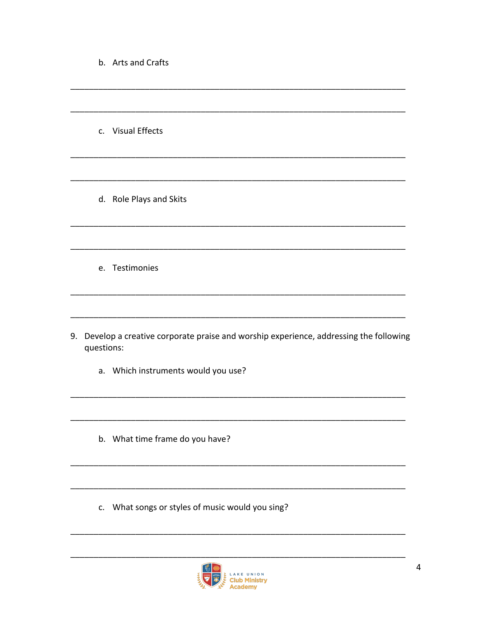|  |  |  | b. Arts and Crafts |
|--|--|--|--------------------|
|--|--|--|--------------------|

c. Visual Effects

d. Role Plays and Skits

e. Testimonies

- 9. Develop a creative corporate praise and worship experience, addressing the following questions:
	- a. Which instruments would you use?
	- b. What time frame do you have?
	- c. What songs or styles of music would you sing?